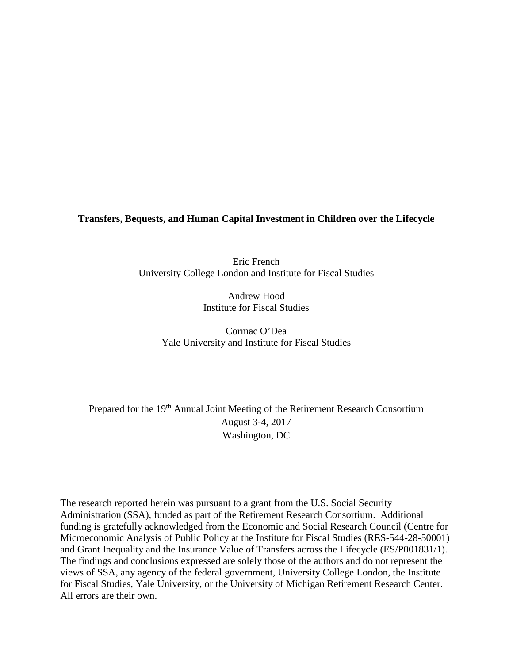**Transfers, Bequests, and Human Capital Investment in Children over the Lifecycle**

Eric French University College London and Institute for Fiscal Studies

> Andrew Hood Institute for Fiscal Studies

Cormac O'Dea Yale University and Institute for Fiscal Studies

Prepared for the 19<sup>th</sup> Annual Joint Meeting of the Retirement Research Consortium August 3-4, 2017 Washington, DC

The research reported herein was pursuant to a grant from the U.S. Social Security Administration (SSA), funded as part of the Retirement Research Consortium. Additional funding is gratefully acknowledged from the Economic and Social Research Council (Centre for Microeconomic Analysis of Public Policy at the Institute for Fiscal Studies (RES-544-28-50001) and Grant Inequality and the Insurance Value of Transfers across the Lifecycle (ES/P001831/1). The findings and conclusions expressed are solely those of the authors and do not represent the views of SSA, any agency of the federal government, University College London, the Institute for Fiscal Studies, Yale University, or the University of Michigan Retirement Research Center. All errors are their own.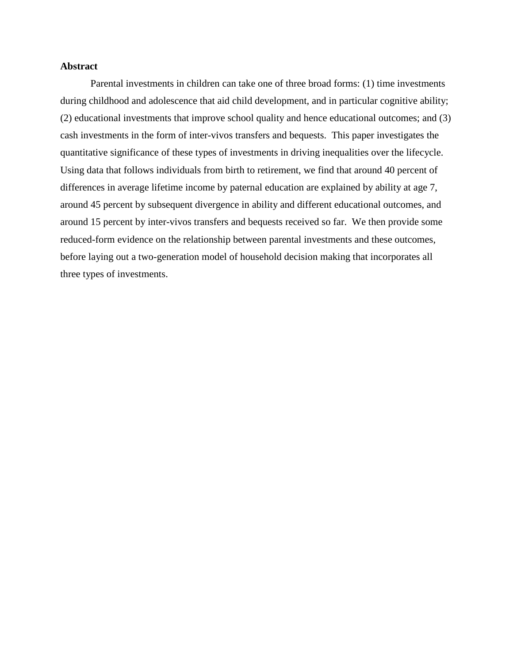# **Abstract**

Parental investments in children can take one of three broad forms: (1) time investments during childhood and adolescence that aid child development, and in particular cognitive ability; (2) educational investments that improve school quality and hence educational outcomes; and (3) cash investments in the form of inter-vivos transfers and bequests. This paper investigates the quantitative significance of these types of investments in driving inequalities over the lifecycle. Using data that follows individuals from birth to retirement, we find that around 40 percent of differences in average lifetime income by paternal education are explained by ability at age 7, around 45 percent by subsequent divergence in ability and different educational outcomes, and around 15 percent by inter-vivos transfers and bequests received so far. We then provide some reduced-form evidence on the relationship between parental investments and these outcomes, before laying out a two-generation model of household decision making that incorporates all three types of investments.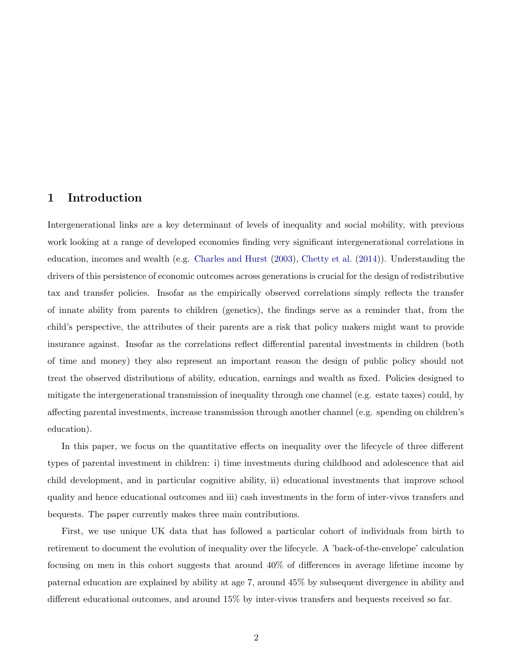# 1 Introduction

Intergenerational links are a key determinant of levels of inequality and social mobility, with previous work looking at a range of developed economies finding very significant intergenerational correlations in education, incomes and wealth (e.g. Charles and Hurst (2003), Chetty et al. (2014)). Understanding the drivers of this persistence of economic outcomes across generations is crucial for the design of redistributive tax and transfer policies. Insofar as the empirically observed correlations simply reflects the transfer of innate ability from parents to children (genetics), the findings serve as a reminder that, from the child's perspective, the attributes of their parents are a risk that policy makers might want to provide insurance against. Insofar as the correlations reflect differential parental investments in children (both of time and money) they also represent an important reason the design of public policy should not treat the observed distributions of ability, education, earnings and wealth as fixed. Policies designed to mitigate the intergenerational transmission of inequality through one channel (e.g. estate taxes) could, by affecting parental investments, increase transmission through another channel (e.g. spending on children's education).

In this paper, we focus on the quantitative effects on inequality over the lifecycle of three different types of parental investment in children: i) time investments during childhood and adolescence that aid child development, and in particular cognitive ability, ii) educational investments that improve school quality and hence educational outcomes and iii) cash investments in the form of inter-vivos transfers and bequests. The paper currently makes three main contributions.

First, we use unique UK data that has followed a particular cohort of individuals from birth to retirement to document the evolution of inequality over the lifecycle. A 'back-of-the-envelope' calculation focusing on men in this cohort suggests that around 40% of differences in average lifetime income by paternal education are explained by ability at age 7, around 45% by subsequent divergence in ability and different educational outcomes, and around 15% by inter-vivos transfers and bequests received so far.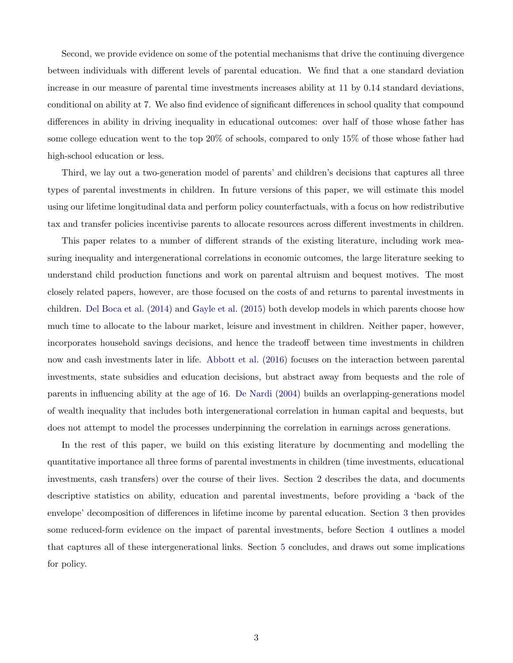Second, we provide evidence on some of the potential mechanisms that drive the continuing divergence between individuals with different levels of parental education. We find that a one standard deviation increase in our measure of parental time investments increases ability at 11 by 0.14 standard deviations, conditional on ability at 7. We also find evidence of significant differences in school quality that compound differences in ability in driving inequality in educational outcomes: over half of those whose father has some college education went to the top 20% of schools, compared to only 15% of those whose father had high-school education or less.

Third, we lay out a two-generation model of parents' and children's decisions that captures all three types of parental investments in children. In future versions of this paper, we will estimate this model using our lifetime longitudinal data and perform policy counterfactuals, with a focus on how redistributive tax and transfer policies incentivise parents to allocate resources across different investments in children.

This paper relates to a number of different strands of the existing literature, including work measuring inequality and intergenerational correlations in economic outcomes, the large literature seeking to understand child production functions and work on parental altruism and bequest motives. The most closely related papers, however, are those focused on the costs of and returns to parental investments in children. Del Boca et al. (2014) and Gayle et al. (2015) both develop models in which parents choose how much time to allocate to the labour market, leisure and investment in children. Neither paper, however, incorporates household savings decisions, and hence the tradeoff between time investments in children now and cash investments later in life. Abbott et al. (2016) focuses on the interaction between parental investments, state subsidies and education decisions, but abstract away from bequests and the role of parents in influencing ability at the age of 16. De Nardi (2004) builds an overlapping-generations model of wealth inequality that includes both intergenerational correlation in human capital and bequests, but does not attempt to model the processes underpinning the correlation in earnings across generations.

In the rest of this paper, we build on this existing literature by documenting and modelling the quantitative importance all three forms of parental investments in children (time investments, educational investments, cash transfers) over the course of their lives. Section 2 describes the data, and documents descriptive statistics on ability, education and parental investments, before providing a 'back of the envelope' decomposition of differences in lifetime income by parental education. Section 3 then provides some reduced-form evidence on the impact of parental investments, before Section 4 outlines a model that captures all of these intergenerational links. Section 5 concludes, and draws out some implications for policy.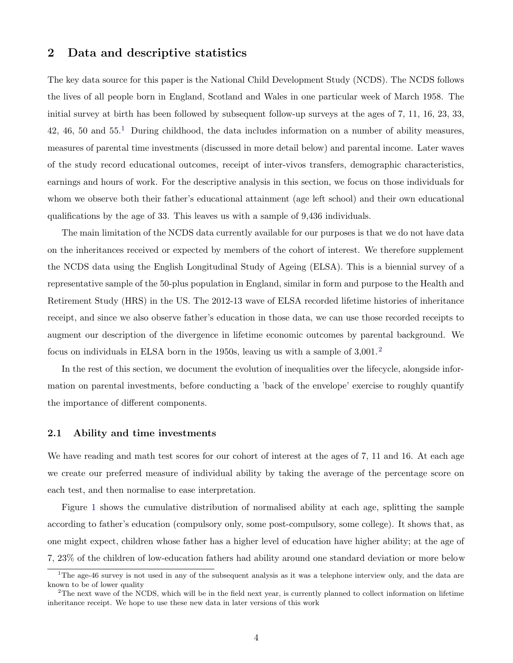# 2 Data and descriptive statistics

The key data source for this paper is the National Child Development Study (NCDS). The NCDS follows the lives of all people born in England, Scotland and Wales in one particular week of March 1958. The initial survey at birth has been followed by subsequent follow-up surveys at the ages of 7, 11, 16, 23, 33, 42, 46, 50 and  $55<sup>1</sup>$  During childhood, the data includes information on a number of ability measures, measures of parental time investments (discussed in more detail below) and parental income. Later waves of the study record educational outcomes, receipt of inter-vivos transfers, demographic characteristics, earnings and hours of work. For the descriptive analysis in this section, we focus on those individuals for whom we observe both their father's educational attainment (age left school) and their own educational qualifications by the age of 33. This leaves us with a sample of 9,436 individuals.

The main limitation of the NCDS data currently available for our purposes is that we do not have data on the inheritances received or expected by members of the cohort of interest. We therefore supplement the NCDS data using the English Longitudinal Study of Ageing (ELSA). This is a biennial survey of a representative sample of the 50-plus population in England, similar in form and purpose to the Health and Retirement Study (HRS) in the US. The 2012-13 wave of ELSA recorded lifetime histories of inheritance receipt, and since we also observe father's education in those data, we can use those recorded receipts to augment our description of the divergence in lifetime economic outcomes by parental background. We focus on individuals in ELSA born in the 1950s, leaving us with a sample of  $3,001$ .<sup>2</sup>

In the rest of this section, we document the evolution of inequalities over the lifecycle, alongside information on parental investments, before conducting a 'back of the envelope' exercise to roughly quantify the importance of different components.

# 2.1 Ability and time investments

We have reading and math test scores for our cohort of interest at the ages of 7, 11 and 16. At each age we create our preferred measure of individual ability by taking the average of the percentage score on each test, and then normalise to ease interpretation.

Figure 1 shows the cumulative distribution of normalised ability at each age, splitting the sample according to father's education (compulsory only, some post-compulsory, some college). It shows that, as one might expect, children whose father has a higher level of education have higher ability; at the age of 7, 23% of the children of low-education fathers had ability around one standard deviation or more below

<sup>&</sup>lt;sup>1</sup>The age-46 survey is not used in any of the subsequent analysis as it was a telephone interview only, and the data are known to be of lower quality

 $2$ The next wave of the NCDS, which will be in the field next year, is currently planned to collect information on lifetime inheritance receipt. We hope to use these new data in later versions of this work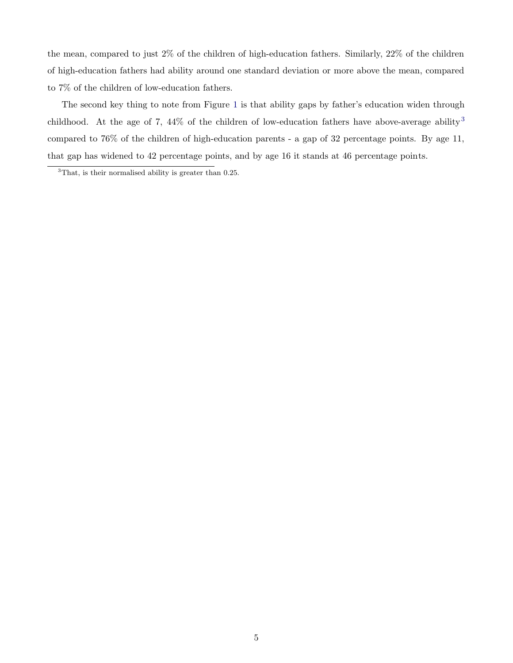the mean, compared to just 2% of the children of high-education fathers. Similarly, 22% of the children of high-education fathers had ability around one standard deviation or more above the mean, compared to 7% of the children of low-education fathers.

The second key thing to note from Figure 1 is that ability gaps by father's education widen through childhood. At the age of 7, 44% of the children of low-education fathers have above-average ability<sup>3</sup> compared to 76% of the children of high-education parents - a gap of 32 percentage points. By age 11, that gap has widened to 42 percentage points, and by age 16 it stands at 46 percentage points.

 $3$ That, is their normalised ability is greater than 0.25.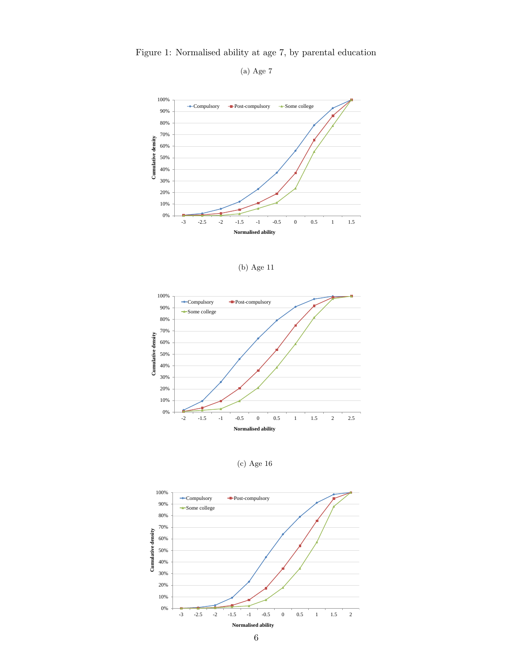

Figure 1: Normalised ability at age 7, by parental education

(a) Age 7





(c) Age 16

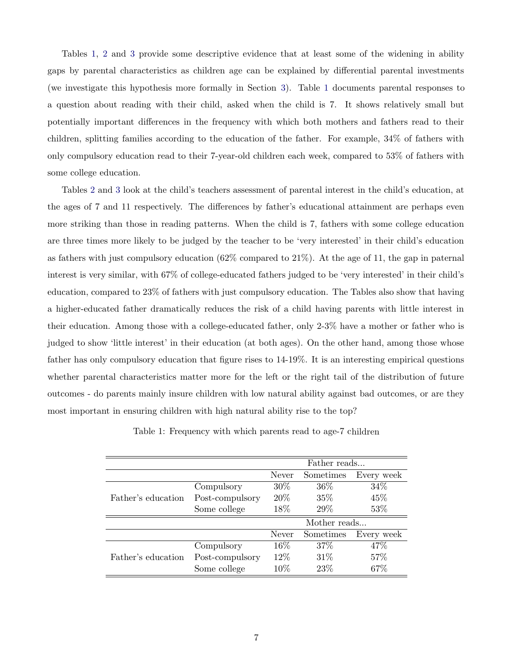Tables 1, 2 and 3 provide some descriptive evidence that at least some of the widening in ability gaps by parental characteristics as children age can be explained by differential parental investments (we investigate this hypothesis more formally in Section 3). Table 1 documents parental responses to a question about reading with their child, asked when the child is 7. It shows relatively small but potentially important differences in the frequency with which both mothers and fathers read to their children, splitting families according to the education of the father. For example, 34% of fathers with only compulsory education read to their 7-year-old children each week, compared to 53% of fathers with some college education.

Tables 2 and 3 look at the child's teachers assessment of parental interest in the child's education, at the ages of 7 and 11 respectively. The differences by father's educational attainment are perhaps even more striking than those in reading patterns. When the child is 7, fathers with some college education are three times more likely to be judged by the teacher to be 'very interested' in their child's education as fathers with just compulsory education (62% compared to 21%). At the age of 11, the gap in paternal interest is very similar, with 67% of college-educated fathers judged to be 'very interested' in their child's education, compared to 23% of fathers with just compulsory education. The Tables also show that having a higher-educated father dramatically reduces the risk of a child having parents with little interest in their education. Among those with a college-educated father, only 2-3% have a mother or father who is judged to show 'little interest' in their education (at both ages). On the other hand, among those whose father has only compulsory education that figure rises to 14-19%. It is an interesting empirical questions whether parental characteristics matter more for the left or the right tail of the distribution of future outcomes - do parents mainly insure children with low natural ability against bad outcomes, or are they most important in ensuring children with high natural ability rise to the top?

|                    |                 | Father reads |           |            |
|--------------------|-----------------|--------------|-----------|------------|
|                    |                 | Never        | Sometimes | Every week |
|                    | Compulsory      | 30\%         | $36\%$    | 34\%       |
| Father's education | Post-compulsory | 20\%         | $35\%$    | 45\%       |
|                    | Some college    | 18%          | 29%       | 53%        |
|                    |                 | Mother reads |           |            |
|                    |                 | Never        | Sometimes | Every week |
|                    | Compulsory      | 16%          | 37\%      | 47\%       |
| Father's education | Post-compulsory | 12%          | 31\%      | 57%        |
|                    | Some college    | $10\%$       | 23\%      | 67%        |

Table 1: Frequency with which parents read to age-7 children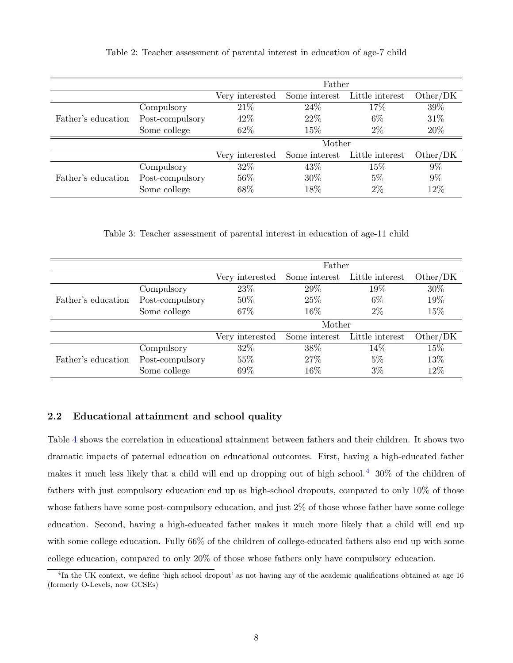|                    |                 | Father          |               |                 |          |
|--------------------|-----------------|-----------------|---------------|-----------------|----------|
|                    |                 | Very interested | Some interest | Little interest | Other/DK |
|                    | Compulsory      | 21\%            | 24\%          | 17\%            | 39%      |
| Father's education | Post-compulsory | 42\%            | 22\%          | $6\%$           | 31\%     |
|                    | Some college    | 62%             | 15%           | $2\%$           | 20%      |
|                    |                 | Mother          |               |                 |          |
|                    |                 | Very interested | Some interest | Little interest | Other/DK |
|                    | Compulsory      | 32%             | 43\%          | 15\%            | $9\%$    |
| Father's education | Post-compulsory | 56%             | 30%           | $5\%$           | $9\%$    |
|                    | Some college    | 68%             | 18%           | $2\%$           | 12%      |

Table 2: Teacher assessment of parental interest in education of age-7 child

Table 3: Teacher assessment of parental interest in education of age-11 child

|                    |                 | Father          |               |                 |          |
|--------------------|-----------------|-----------------|---------------|-----------------|----------|
|                    |                 | Very interested | Some interest | Little interest | Other/DK |
|                    | Compulsory      | 23\%            | 29%           | 19%             | 30%      |
| Father's education | Post-compulsory | 50%             | 25%           | $6\%$           | 19%      |
|                    | Some college    | 67%             | 16\%          | $2\%$           | 15%      |
|                    |                 | Mother          |               |                 |          |
|                    |                 | Very interested | Some interest | Little interest | Other/DK |
|                    | Compulsory      | 32\%            | 38%           | 14\%            | 15%      |
| Father's education | Post-compulsory | 55%             | 27\%          | $5\%$           | 13%      |
|                    | Some college    | 69%             | $16\%$        | $3\%$           | 12%      |

# 2.2 Educational attainment and school quality

Table 4 shows the correlation in educational attainment between fathers and their children. It shows two dramatic impacts of paternal education on educational outcomes. First, having a high-educated father makes it much less likely that a child will end up dropping out of high school.<sup>4</sup> 30% of the children of fathers with just compulsory education end up as high-school dropouts, compared to only 10% of those whose fathers have some post-compulsory education, and just 2% of those whose father have some college education. Second, having a high-educated father makes it much more likely that a child will end up with some college education. Fully 66% of the children of college-educated fathers also end up with some college education, compared to only 20% of those whose fathers only have compulsory education.

<sup>&</sup>lt;sup>4</sup>In the UK context, we define 'high school dropout' as not having any of the academic qualifications obtained at age 16 (formerly O-Levels, now GCSEs)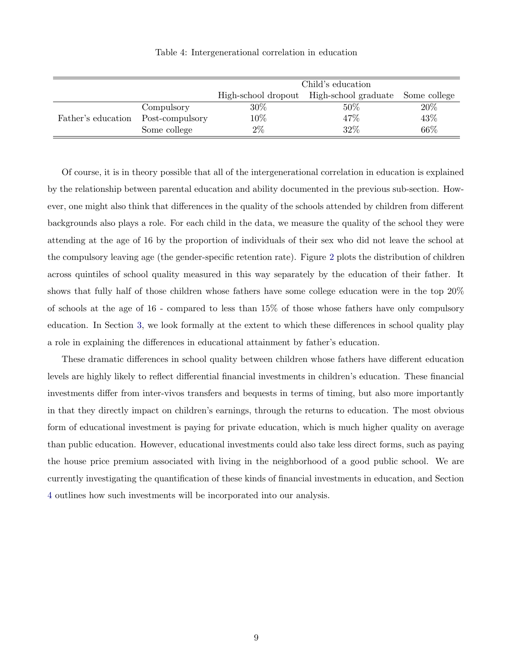|                    |                 | Child's education                                           |      |     |  |
|--------------------|-----------------|-------------------------------------------------------------|------|-----|--|
|                    |                 | High-school graduate<br>High-school dropout<br>Some college |      |     |  |
|                    | Compulsory      | 30%                                                         | 50\% | 20% |  |
| Father's education | Post-compulsory | 10%                                                         | 47%  | 43% |  |
|                    | Some college    | $2\%$                                                       | 32%  | 66% |  |

Table 4: Intergenerational correlation in education

Of course, it is in theory possible that all of the intergenerational correlation in education is explained by the relationship between parental education and ability documented in the previous sub-section. However, one might also think that differences in the quality of the schools attended by children from different backgrounds also plays a role. For each child in the data, we measure the quality of the school they were attending at the age of 16 by the proportion of individuals of their sex who did not leave the school at the compulsory leaving age (the gender-specific retention rate). Figure 2 plots the distribution of children across quintiles of school quality measured in this way separately by the education of their father. It shows that fully half of those children whose fathers have some college education were in the top 20% of schools at the age of 16 - compared to less than 15% of those whose fathers have only compulsory education. In Section 3, we look formally at the extent to which these differences in school quality play a role in explaining the differences in educational attainment by father's education.

These dramatic differences in school quality between children whose fathers have different education levels are highly likely to reflect differential financial investments in children's education. These financial investments differ from inter-vivos transfers and bequests in terms of timing, but also more importantly in that they directly impact on children's earnings, through the returns to education. The most obvious form of educational investment is paying for private education, which is much higher quality on average than public education. However, educational investments could also take less direct forms, such as paying the house price premium associated with living in the neighborhood of a good public school. We are currently investigating the quantification of these kinds of financial investments in education, and Section 4 outlines how such investments will be incorporated into our analysis.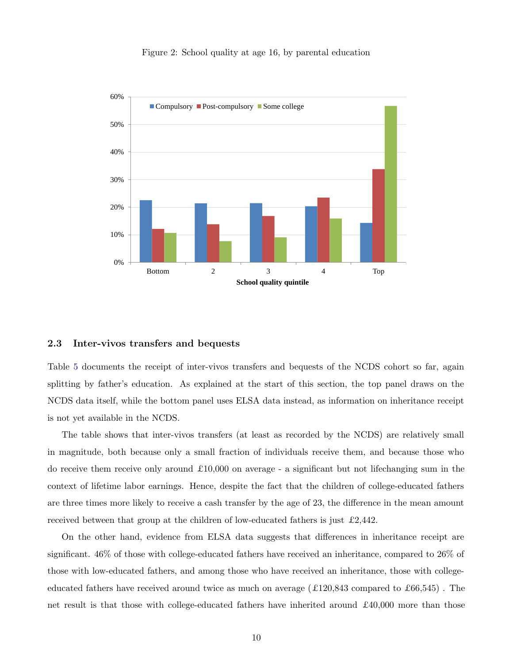#### Figure 2: School quality at age 16, by parental education



#### 2.3 Inter-vivos transfers and bequests

Table 5 documents the receipt of inter-vivos transfers and bequests of the NCDS cohort so far, again splitting by father's education. As explained at the start of this section, the top panel draws on the NCDS data itself, while the bottom panel uses ELSA data instead, as information on inheritance receipt is not yet available in the NCDS.

The table shows that inter-vivos transfers (at least as recorded by the NCDS) are relatively small in magnitude, both because only a small fraction of individuals receive them, and because those who do receive them receive only around  $£10,000$  on average - a significant but not lifechanging sum in the context of lifetime labor earnings. Hence, despite the fact that the children of college-educated fathers are three times more likely to receive a cash transfer by the age of 23, the difference in the mean amount received between that group at the children of low-educated fathers is just £2,442.

On the other hand, evidence from ELSA data suggests that differences in inheritance receipt are significant. 46% of those with college-educated fathers have received an inheritance, compared to 26% of those with low-educated fathers, and among those who have received an inheritance, those with collegeeducated fathers have received around twice as much on average  $(£120,843$  compared to  $£66,545)$ . The net result is that those with college-educated fathers have inherited around  $\pounds 40,000$  more than those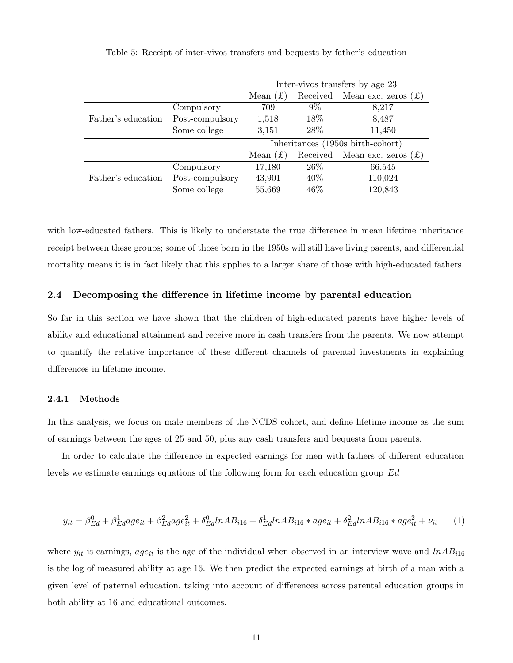|                    |                 | Inter-vivos transfers by age 23   |          |                         |
|--------------------|-----------------|-----------------------------------|----------|-------------------------|
|                    |                 | $\mathbf{f}$<br>Mean              | Received | (f)<br>Mean exc. zeros  |
|                    | Compulsory      | 709                               | $9\%$    | 8,217                   |
| Father's education | Post-compulsory | 1,518                             | 18%      | 8,487                   |
|                    | Some college    | 3,151                             | 28\%     | 11,450                  |
|                    |                 | Inheritances (1950s birth-cohort) |          |                         |
|                    |                 | Mean $(f)$                        | Received | f(x)<br>Mean exc. zeros |
|                    | Compulsory      | 17,180                            | $26\%$   | 66,545                  |
| Father's education | Post-compulsory | 43,901                            | 40\%     | 110,024                 |
|                    | Some college    | 55,669                            | 46%      | 120,843                 |

Table 5: Receipt of inter-vivos transfers and bequests by father's education

with low-educated fathers. This is likely to understate the true difference in mean lifetime inheritance receipt between these groups; some of those born in the 1950s will still have living parents, and differential mortality means it is in fact likely that this applies to a larger share of those with high-educated fathers.

# 2.4 Decomposing the difference in lifetime income by parental education

So far in this section we have shown that the children of high-educated parents have higher levels of ability and educational attainment and receive more in cash transfers from the parents. We now attempt to quantify the relative importance of these different channels of parental investments in explaining differences in lifetime income.

# 2.4.1 Methods

In this analysis, we focus on male members of the NCDS cohort, and define lifetime income as the sum of earnings between the ages of 25 and 50, plus any cash transfers and bequests from parents.

In order to calculate the difference in expected earnings for men with fathers of different education levels we estimate earnings equations of the following form for each education group Ed

$$
y_{it} = \beta_{Ed}^0 + \beta_{Ed}^1 age_{it} + \beta_{Ed}^2 age_{it}^2 + \delta_{Ed}^0 in AB_{i16} + \delta_{Ed}^1 in AB_{i16} * age_{it} + \delta_{Ed}^2 in AB_{i16} * age_{it}^2 + \nu_{it}
$$
 (1)

where  $y_{it}$  is earnings, age<sub>it</sub> is the age of the individual when observed in an interview wave and  $lnAB_{i16}$ is the log of measured ability at age 16. We then predict the expected earnings at birth of a man with a given level of paternal education, taking into account of differences across parental education groups in both ability at 16 and educational outcomes.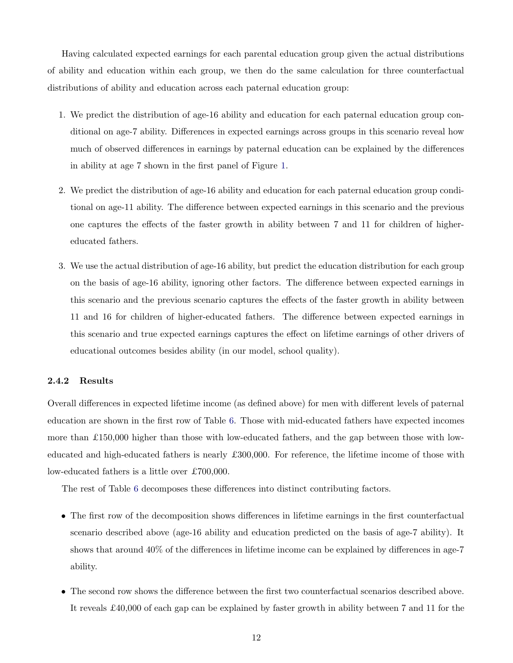Having calculated expected earnings for each parental education group given the actual distributions of ability and education within each group, we then do the same calculation for three counterfactual distributions of ability and education across each paternal education group:

- 1. We predict the distribution of age-16 ability and education for each paternal education group conditional on age-7 ability. Differences in expected earnings across groups in this scenario reveal how much of observed differences in earnings by paternal education can be explained by the differences in ability at age 7 shown in the first panel of Figure 1.
- 2. We predict the distribution of age-16 ability and education for each paternal education group conditional on age-11 ability. The difference between expected earnings in this scenario and the previous one captures the effects of the faster growth in ability between 7 and 11 for children of highereducated fathers.
- 3. We use the actual distribution of age-16 ability, but predict the education distribution for each group on the basis of age-16 ability, ignoring other factors. The difference between expected earnings in this scenario and the previous scenario captures the effects of the faster growth in ability between 11 and 16 for children of higher-educated fathers. The difference between expected earnings in this scenario and true expected earnings captures the effect on lifetime earnings of other drivers of educational outcomes besides ability (in our model, school quality).

#### 2.4.2 Results

Overall differences in expected lifetime income (as defined above) for men with different levels of paternal education are shown in the first row of Table 6. Those with mid-educated fathers have expected incomes more than  $£150,000$  higher than those with low-educated fathers, and the gap between those with loweducated and high-educated fathers is nearly £300,000. For reference, the lifetime income of those with low-educated fathers is a little over £700,000.

The rest of Table 6 decomposes these differences into distinct contributing factors.

- The first row of the decomposition shows differences in lifetime earnings in the first counterfactual scenario described above (age-16 ability and education predicted on the basis of age-7 ability). It shows that around 40% of the differences in lifetime income can be explained by differences in age-7 ability.
- The second row shows the difference between the first two counterfactual scenarios described above. It reveals £40,000 of each gap can be explained by faster growth in ability between 7 and 11 for the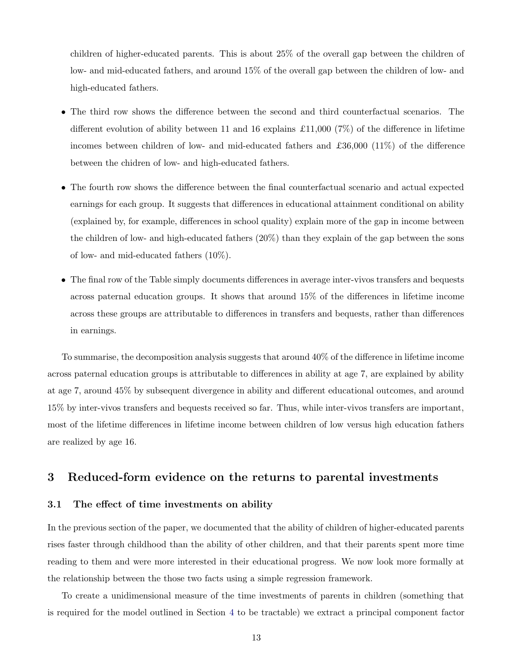children of higher-educated parents. This is about 25% of the overall gap between the children of low- and mid-educated fathers, and around 15% of the overall gap between the children of low- and high-educated fathers.

- The third row shows the difference between the second and third counterfactual scenarios. The different evolution of ability between 11 and 16 explains £11,000 (7%) of the difference in lifetime incomes between children of low- and mid-educated fathers and  $\pounds36,000$  (11%) of the difference between the chidren of low- and high-educated fathers.
- The fourth row shows the difference between the final counterfactual scenario and actual expected earnings for each group. It suggests that differences in educational attainment conditional on ability (explained by, for example, differences in school quality) explain more of the gap in income between the children of low- and high-educated fathers (20%) than they explain of the gap between the sons of low- and mid-educated fathers (10%).
- The final row of the Table simply documents differences in average inter-vivos transfers and bequests across paternal education groups. It shows that around 15% of the differences in lifetime income across these groups are attributable to differences in transfers and bequests, rather than differences in earnings.

To summarise, the decomposition analysis suggests that around 40% of the difference in lifetime income across paternal education groups is attributable to differences in ability at age 7, are explained by ability at age 7, around 45% by subsequent divergence in ability and different educational outcomes, and around 15% by inter-vivos transfers and bequests received so far. Thus, while inter-vivos transfers are important, most of the lifetime differences in lifetime income between children of low versus high education fathers are realized by age 16.

# 3 Reduced-form evidence on the returns to parental investments

# 3.1 The effect of time investments on ability

In the previous section of the paper, we documented that the ability of children of higher-educated parents rises faster through childhood than the ability of other children, and that their parents spent more time reading to them and were more interested in their educational progress. We now look more formally at the relationship between the those two facts using a simple regression framework.

To create a unidimensional measure of the time investments of parents in children (something that is required for the model outlined in Section 4 to be tractable) we extract a principal component factor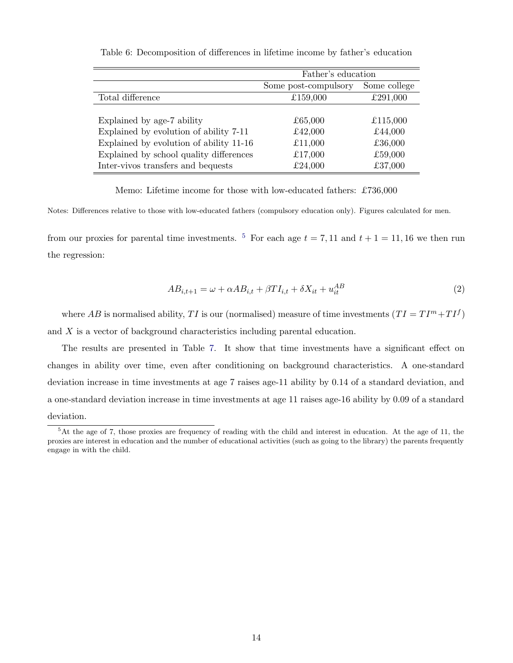|                                         | Father's education   |              |  |
|-----------------------------------------|----------------------|--------------|--|
|                                         | Some post-compulsory | Some college |  |
| Total difference                        | £159,000             | £291,000     |  |
|                                         |                      |              |  |
| Explained by age-7 ability              | £65,000              | £115,000     |  |
| Explained by evolution of ability 7-11  | £42,000              | £44,000      |  |
| Explained by evolution of ability 11-16 | £11,000              | £36,000      |  |
| Explained by school quality differences | £17,000              | £59,000      |  |
| Inter-vivos transfers and bequests      | £24,000              | £37,000      |  |

Table 6: Decomposition of differences in lifetime income by father's education

Memo: Lifetime income for those with low-educated fathers: £736,000

Notes: Differences relative to those with low-educated fathers (compulsory education only). Figures calculated for men.

from our proxies for parental time investments. <sup>5</sup> For each age  $t = 7, 11$  and  $t + 1 = 11, 16$  we then run the regression:

$$
AB_{i,t+1} = \omega + \alpha AB_{i,t} + \beta TI_{i,t} + \delta X_{it} + u_{it}^{AB}
$$
\n(2)

where AB is normalised ability, TI is our (normalised) measure of time investments  $(TI = TI<sup>m</sup> + TI<sup>f</sup>)$ and X is a vector of background characteristics including parental education.

The results are presented in Table 7. It show that time investments have a significant effect on changes in ability over time, even after conditioning on background characteristics. A one-standard deviation increase in time investments at age 7 raises age-11 ability by 0.14 of a standard deviation, and a one-standard deviation increase in time investments at age 11 raises age-16 ability by 0.09 of a standard deviation.

<sup>5</sup>At the age of 7, those proxies are frequency of reading with the child and interest in education. At the age of 11, the proxies are interest in education and the number of educational activities (such as going to the library) the parents frequently engage in with the child.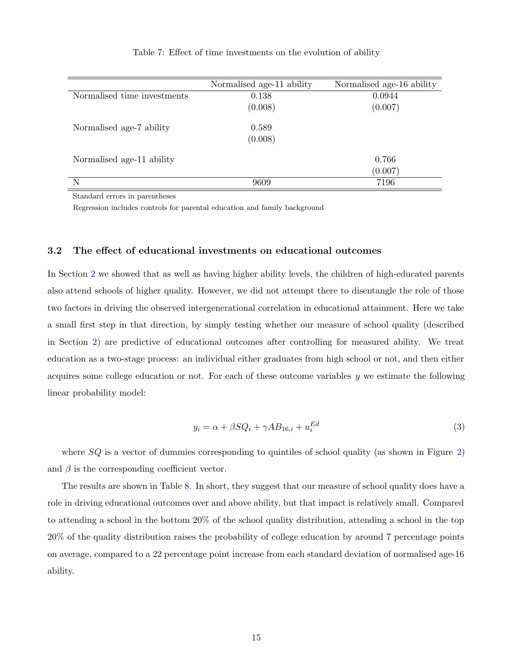|                             | Normalised age-11 ability | Normalised age-16 ability |
|-----------------------------|---------------------------|---------------------------|
| Normalised time investments | 0.138                     | 0.0944                    |
|                             | (0.008)                   | (0.007)                   |
| Normalised age-7 ability    | 0.589                     |                           |
|                             | (0.008)                   |                           |
| Normalised age-11 ability   |                           | 0.766                     |
|                             |                           | (0.007)                   |
| N                           | 9609                      | 7196                      |

Table 7: Effect of time investments on the evolution of ability

Standard errors in parentheses

Regression includes controls for parental education and family background

### 3.2 The effect of educational investments on educational outcomes

In Section 2 we showed that as well as having higher ability levels, the children of high-educated parents also attend schools of higher quality. However, we did not attempt there to disentangle the role of those two factors in driving the observed intergenerational correlation in educational attainment. Here we take a small first step in that direction, by simply testing whether our measure of school quality (described in Section 2) are predictive of educational outcomes after controlling for measured ability. We treat education as a two-stage process: an individual either graduates from high school or not, and then either acquires some college education or not. For each of these outcome variables  $y$  we estimate the following linear probability model:

$$
y_i = \alpha + \beta S Q_i + \gamma A B_{16,i} + u_i^{Ed} \tag{3}
$$

where  $SQ$  is a vector of dummies corresponding to quintiles of school quality (as shown in Figure 2) and  $\beta$  is the corresponding coefficient vector.

The results are shown in Table 8. In short, they suggest that our measure of school quality does have a role in driving educational outcomes over and above ability, but that impact is relatively small. Compared to attending a school in the bottom 20% of the school quality distribution, attending a school in the top 20% of the quality distribution raises the probability of college education by around 7 percentage points on average, compared to a 22 percentage point increase from each standard deviation of normalised age-16 ability.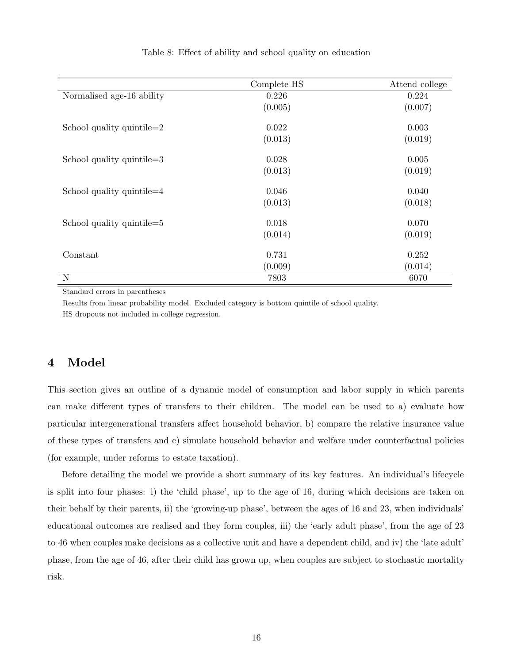|                              | Complete HS | Attend college |
|------------------------------|-------------|----------------|
| Normalised age-16 ability    | 0.226       | 0.224          |
|                              | (0.005)     | (0.007)        |
| School quality quintile $=2$ | 0.022       | 0.003          |
|                              | (0.013)     | (0.019)        |
| School quality quintile= $3$ | 0.028       | 0.005          |
|                              | (0.013)     | (0.019)        |
| School quality quintile $=4$ | 0.046       | 0.040          |
|                              | (0.013)     | (0.018)        |
| School quality quintile= $5$ | 0.018       | 0.070          |
|                              | (0.014)     | (0.019)        |
| Constant                     | 0.731       | 0.252          |
|                              | (0.009)     | (0.014)        |
| N                            | 7803        | 6070           |

#### Table 8: Effect of ability and school quality on education

Standard errors in parentheses

Results from linear probability model. Excluded category is bottom quintile of school quality. HS dropouts not included in college regression.

# 4 Model

This section gives an outline of a dynamic model of consumption and labor supply in which parents can make different types of transfers to their children. The model can be used to a) evaluate how particular intergenerational transfers affect household behavior, b) compare the relative insurance value of these types of transfers and c) simulate household behavior and welfare under counterfactual policies (for example, under reforms to estate taxation).

Before detailing the model we provide a short summary of its key features. An individual's lifecycle is split into four phases: i) the 'child phase', up to the age of 16, during which decisions are taken on their behalf by their parents, ii) the 'growing-up phase', between the ages of 16 and 23, when individuals' educational outcomes are realised and they form couples, iii) the 'early adult phase', from the age of 23 to 46 when couples make decisions as a collective unit and have a dependent child, and iv) the 'late adult' phase, from the age of 46, after their child has grown up, when couples are subject to stochastic mortality risk.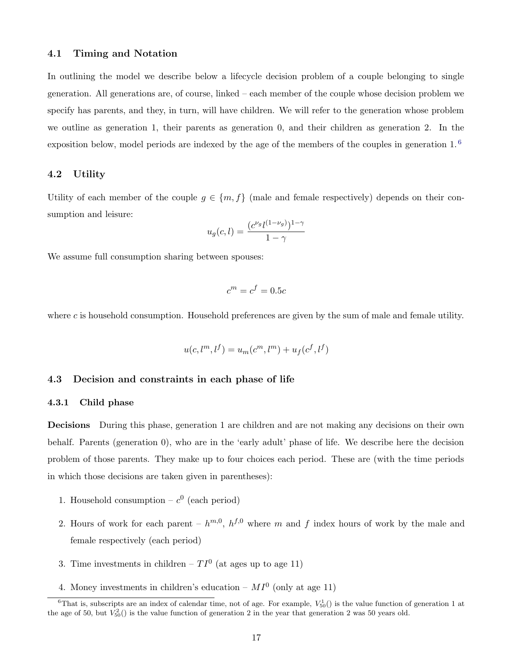### 4.1 Timing and Notation

In outlining the model we describe below a lifecycle decision problem of a couple belonging to single generation. All generations are, of course, linked – each member of the couple whose decision problem we specify has parents, and they, in turn, will have children. We will refer to the generation whose problem we outline as generation 1, their parents as generation 0, and their children as generation 2. In the exposition below, model periods are indexed by the age of the members of the couples in generation 1. <sup>6</sup>

# 4.2 Utility

Utility of each member of the couple  $g \in \{m, f\}$  (male and female respectively) depends on their consumption and leisure:

$$
u_g(c, l) = \frac{(c^{\nu_g}l^{(1-\nu_g)})^{1-\gamma}}{1-\gamma}
$$

We assume full consumption sharing between spouses:

$$
c^m = c^f = 0.5c
$$

where  $c$  is household consumption. Household preferences are given by the sum of male and female utility.

$$
u(c, l^m, l^f) = u_m(c^m, l^m) + u_f(c^f, l^f)
$$

# 4.3 Decision and constraints in each phase of life

#### 4.3.1 Child phase

Decisions During this phase, generation 1 are children and are not making any decisions on their own behalf. Parents (generation 0), who are in the 'early adult' phase of life. We describe here the decision problem of those parents. They make up to four choices each period. These are (with the time periods in which those decisions are taken given in parentheses):

- 1. Household consumption  $c^0$  (each period)
- 2. Hours of work for each parent  $h^{m,0}$ ,  $h^{f,0}$  where m and f index hours of work by the male and female respectively (each period)
- 3. Time investments in children  $TI^0$  (at ages up to age 11)
- 4. Money investments in children's education  $MI^0$  (only at age 11)

<sup>&</sup>lt;sup>6</sup>That is, subscripts are an index of calendar time, not of age. For example,  $V_{50}^1()$  is the value function of generation 1 at the age of 50, but  $V_{50}^2()$  is the value function of generation 2 in the year that generation 2 was 50 years old.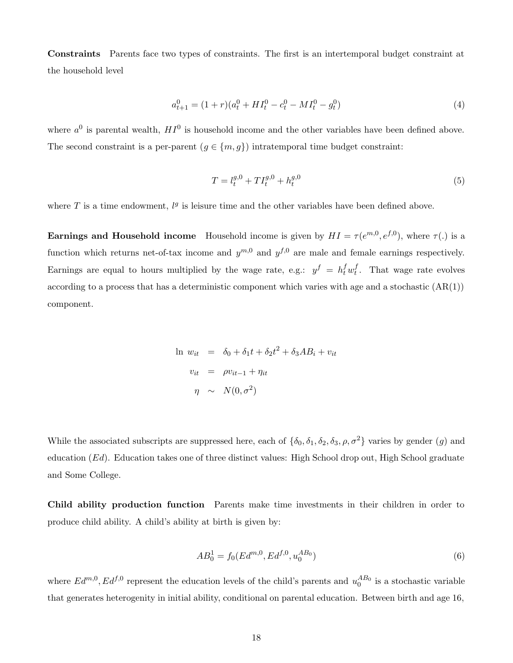Constraints Parents face two types of constraints. The first is an intertemporal budget constraint at the household level

$$
a_{t+1}^0 = (1+r)(a_t^0 + HI_t^0 - c_t^0 - MI_t^0 - g_t^0)
$$
\n<sup>(4)</sup>

where  $a^0$  is parental wealth,  $HI^0$  is household income and the other variables have been defined above. The second constraint is a per-parent  $(g \in \{m, g\})$  intratemporal time budget constraint:

$$
T = l_t^{g,0} + T I_t^{g,0} + h_t^{g,0}
$$
\n<sup>(5)</sup>

where T is a time endowment,  $l<sup>g</sup>$  is leisure time and the other variables have been defined above.

**Earnings and Household income** Household income is given by  $HI = \tau(e^{m,0}, e^{f,0})$ , where  $\tau(.)$  is a function which returns net-of-tax income and  $y^{m,0}$  and  $y^{f,0}$  are male and female earnings respectively. Earnings are equal to hours multiplied by the wage rate, e.g.:  $y^f = h_t^f w_t^f$ . That wage rate evolves according to a process that has a deterministic component which varies with age and a stochastic  $(AR(1))$ component.

$$
\ln w_{it} = \delta_0 + \delta_1 t + \delta_2 t^2 + \delta_3 AB_i + v_{it}
$$
  

$$
v_{it} = \rho v_{it-1} + \eta_{it}
$$
  

$$
\eta \sim N(0, \sigma^2)
$$

While the associated subscripts are suppressed here, each of  $\{\delta_0, \delta_1, \delta_2, \delta_3, \rho, \sigma^2\}$  varies by gender  $(g)$  and education (Ed). Education takes one of three distinct values: High School drop out, High School graduate and Some College.

Child ability production function Parents make time investments in their children in order to produce child ability. A child's ability at birth is given by:

$$
AB_0^1 = f_0(Ed^{m,0}, Ed^{f,0}, u_0^{AB_0})
$$
\n<sup>(6)</sup>

where  $Ed^{m,0}$ ,  $Ed^{f,0}$  represent the education levels of the child's parents and  $u_0^{AB_0}$  is a stochastic variable that generates heterogenity in initial ability, conditional on parental education. Between birth and age 16,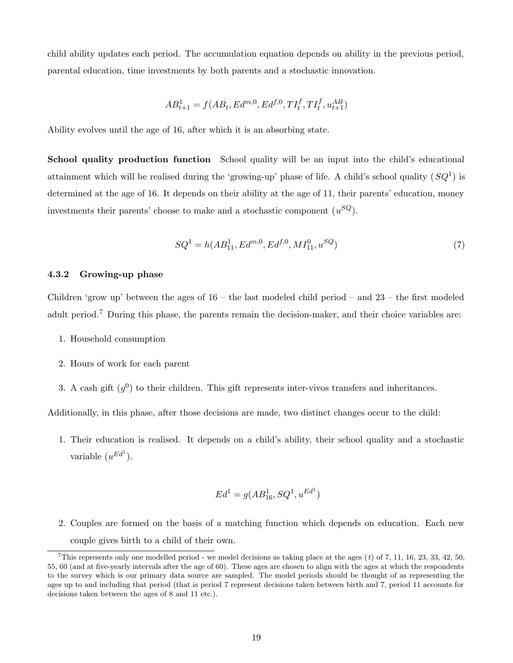child ability updates each period. The accumulation equation depends on ability in the previous period, parental education, time investments by both parents and a stochastic innovation.

$$
AB_{t+1}^1 = f(AB_t, Ed^{m,0}, Ed^{f,0}, TI_t^f, TI_t^f, u_{t+1}^{AB})
$$

Ability evolves until the age of 16, after which it is an absorbing state.

School quality production function School quality will be an input into the child's educational attainment which will be realised during the 'growing-up' phase of life. A child's school quality  $(SQ<sup>1</sup>)$  is determined at the age of 16. It depends on their ability at the age of 11, their parents' education, money investments their parents' choose to make and a stochastic component  $(u^{SQ})$ .

$$
SQ^1 = h(AB_{11}^1, Ed^{m,0}, Ed^{f,0}, MI_{11}^0, u^{SQ})
$$
\n<sup>(7)</sup>

#### 4.3.2 Growing-up phase

Children 'grow up' between the ages of  $16 -$  the last modeled child period – and  $23 -$  the first modeled adult period.<sup>7</sup> During this phase, the parents remain the decision-maker, and their choice variables are:

- 1. Household consumption
- 2. Hours of work for each parent
- 3. A cash gift  $(q^0)$  to their children. This gift represents inter-vivos transfers and inheritances.

Additionally, in this phase, after those decisions are made, two distinct changes occur to the child:

1. Their education is realised. It depends on a child's ability, their school quality and a stochastic variable  $(u^{Ed}$ ).

$$
Ed^1 = g(AB_{16}^1, SQ^1, u^{Ed^1})
$$

2. Couples are formed on the basis of a matching function which depends on education. Each new couple gives birth to a child of their own.

<sup>&</sup>lt;sup>7</sup>This represents only one modelled period - we model decisions as taking place at the ages  $(t)$  of 7, 11, 16, 23, 33, 42, 50, 55, 60 (and at five-yearly intervals after the age of 60). These ages are chosen to align with the ages at which the respondents to the survey which is our primary data source are sampled. The model periods should be thought of as representing the ages up to and including that period (that is period 7 represent decisions taken between birth and 7, period 11 accounts for decisions taken between the ages of 8 and 11 etc.).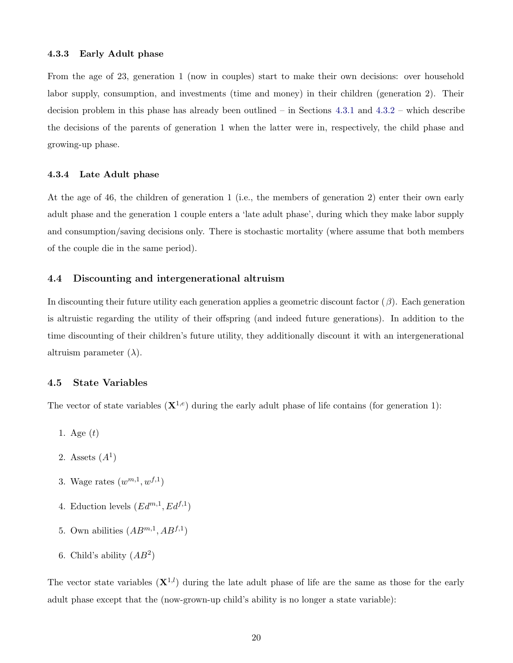From the age of 23, generation 1 (now in couples) start to make their own decisions: over household labor supply, consumption, and investments (time and money) in their children (generation 2). Their decision problem in this phase has already been outlined – in Sections 4.3.1 and 4.3.2 – which describe the decisions of the parents of generation 1 when the latter were in, respectively, the child phase and growing-up phase.

# 4.3.4 Late Adult phase

At the age of 46, the children of generation 1 (i.e., the members of generation 2) enter their own early adult phase and the generation 1 couple enters a 'late adult phase', during which they make labor supply and consumption/saving decisions only. There is stochastic mortality (where assume that both members of the couple die in the same period).

# 4.4 Discounting and intergenerational altruism

In discounting their future utility each generation applies a geometric discount factor  $(\beta)$ . Each generation is altruistic regarding the utility of their offspring (and indeed future generations). In addition to the time discounting of their children's future utility, they additionally discount it with an intergenerational altruism parameter  $(\lambda)$ .

#### 4.5 State Variables

The vector of state variables  $(X^{1,e})$  during the early adult phase of life contains (for generation 1):

- 1. Age  $(t)$
- 2. Assets  $(A^1)$
- 3. Wage rates  $(w^{m,1}, w^{f,1})$
- 4. Eduction levels  $(Ed^{m,1}, Ed^{f,1})$
- 5. Own abilities  $(AB^{m,1}, AB^{f,1})$
- 6. Child's ability  $(AB^2)$

The vector state variables  $({\bf X}^{1,l})$  during the late adult phase of life are the same as those for the early adult phase except that the (now-grown-up child's ability is no longer a state variable):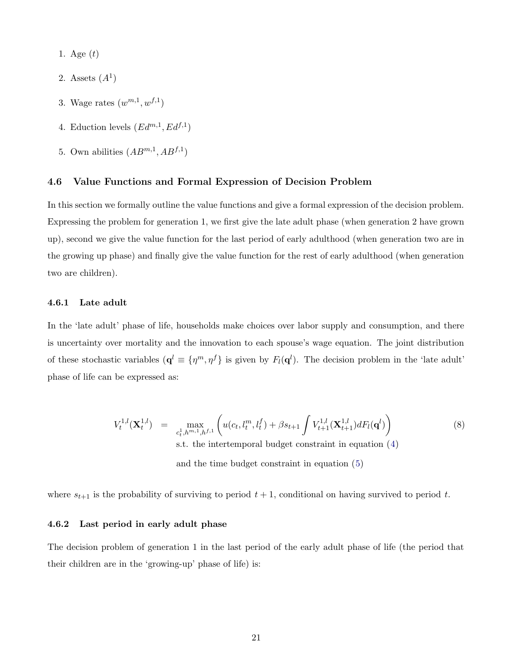1. Age  $(t)$ 

- 2. Assets  $(A^1)$
- 3. Wage rates  $(w^{m,1}, w^{f,1})$
- 4. Eduction levels  $(Ed^{m,1}, Ed^{f,1})$
- 5. Own abilities  $(AB^{m,1}, AB^{f,1})$

# 4.6 Value Functions and Formal Expression of Decision Problem

In this section we formally outline the value functions and give a formal expression of the decision problem. Expressing the problem for generation 1, we first give the late adult phase (when generation 2 have grown up), second we give the value function for the last period of early adulthood (when generation two are in the growing up phase) and finally give the value function for the rest of early adulthood (when generation two are children).

# 4.6.1 Late adult

In the 'late adult' phase of life, households make choices over labor supply and consumption, and there is uncertainty over mortality and the innovation to each spouse's wage equation. The joint distribution of these stochastic variables  $(\mathbf{q}^l \equiv {\{\eta^m,\eta^f\}}$  is given by  $F_l(\mathbf{q}^l)$ . The decision problem in the 'late adult' phase of life can be expressed as:

$$
V_t^{1,l}(\mathbf{X}_t^{1,l}) = \max_{c_t^1, h^{m,1}, h^{f,1}} \left( u(c_t, l_t^m, l_t^f) + \beta s_{t+1} \int V_{t+1}^{1,l}(\mathbf{X}_{t+1}^{1,l}) dF_l(\mathbf{q}^l) \right)
$$
\ns.t. the intertemporal budget constraint in equation (4)

\nand the time budget constraint in equation (5)

where  $s_{t+1}$  is the probability of surviving to period  $t + 1$ , conditional on having survived to period t.

# 4.6.2 Last period in early adult phase

The decision problem of generation 1 in the last period of the early adult phase of life (the period that their children are in the 'growing-up' phase of life) is: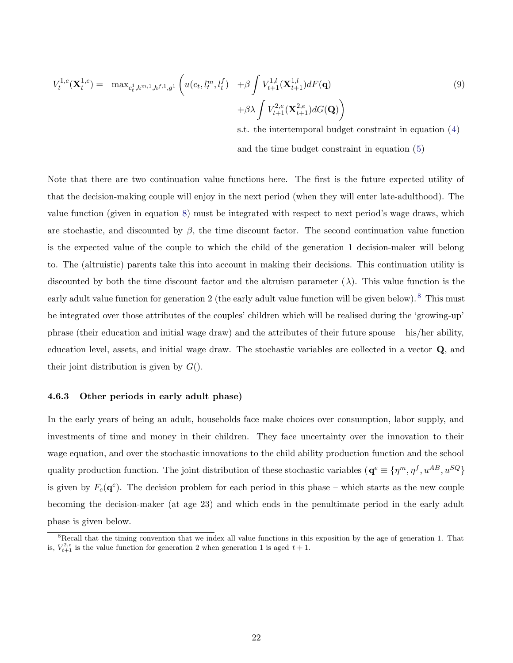$$
V_t^{1,e}(\mathbf{X}_t^{1,e}) = \max_{c_t^1, h^{m,1}, h^{f,1}, g^1} \left( u(c_t, l_t^m, l_t^f) + \beta \int V_{t+1}^{1,l}(\mathbf{X}_{t+1}^{1,l}) dF(\mathbf{q}) + \beta \lambda \int V_{t+1}^{2,e}(\mathbf{X}_{t+1}^{2,e}) dG(\mathbf{Q}) \right)
$$
\n
$$
(9)
$$

s.t. the intertemporal budget constraint in equation (4) and the time budget constraint in equation (5)

Note that there are two continuation value functions here. The first is the future expected utility of that the decision-making couple will enjoy in the next period (when they will enter late-adulthood). The value function (given in equation 8) must be integrated with respect to next period's wage draws, which are stochastic, and discounted by  $\beta$ , the time discount factor. The second continuation value function is the expected value of the couple to which the child of the generation 1 decision-maker will belong to. The (altruistic) parents take this into account in making their decisions. This continuation utility is discounted by both the time discount factor and the altruism parameter  $(\lambda)$ . This value function is the early adult value function for generation 2 (the early adult value function will be given below). <sup>8</sup> This must be integrated over those attributes of the couples' children which will be realised during the 'growing-up' phrase (their education and initial wage draw) and the attributes of their future spouse – his/her ability, education level, assets, and initial wage draw. The stochastic variables are collected in a vector Q, and their joint distribution is given by  $G(.)$ .

## 4.6.3 Other periods in early adult phase)

In the early years of being an adult, households face make choices over consumption, labor supply, and investments of time and money in their children. They face uncertainty over the innovation to their wage equation, and over the stochastic innovations to the child ability production function and the school quality production function. The joint distribution of these stochastic variables ( $\mathbf{q}^e \equiv {\{\eta^m, \eta^f, u^{AB}, u^{SQ}\}}$ is given by  $F_e(\mathbf{q}^e)$ . The decision problem for each period in this phase – which starts as the new couple becoming the decision-maker (at age 23) and which ends in the penultimate period in the early adult phase is given below.

<sup>&</sup>lt;sup>8</sup>Recall that the timing convention that we index all value functions in this exposition by the age of generation 1. That is,  $V_{t+1}^{2,e}$  is the value function for generation 2 when generation 1 is aged  $t + 1$ .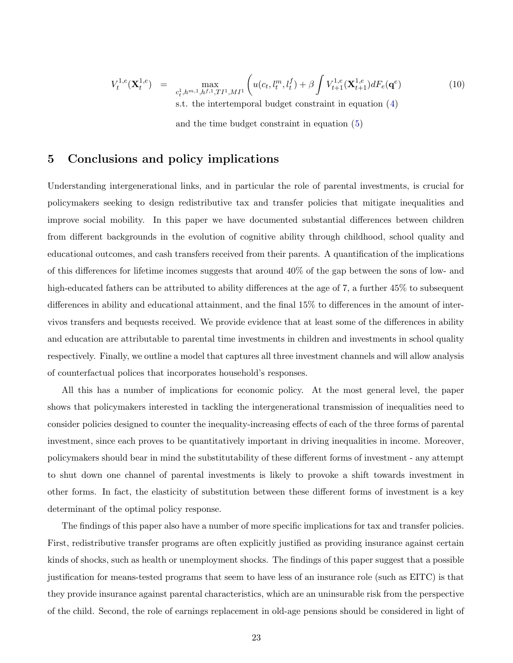$$
V_t^{1,e}(\mathbf{X}_t^{1,e}) = \max_{c_t^1, h^{m,1}, h^{f,1}, T^{f,1}, MI^1} \left( u(c_t, l_t^m, l_t^f) + \beta \int V_{t+1}^{1,e}(\mathbf{X}_{t+1}^{1,e}) dF_e(\mathbf{q}^e) \right)
$$
(10)

s.t. the intertemporal budget constraint in equation (4)

and the time budget constraint in equation (5)

# 5 Conclusions and policy implications

Understanding intergenerational links, and in particular the role of parental investments, is crucial for policymakers seeking to design redistributive tax and transfer policies that mitigate inequalities and improve social mobility. In this paper we have documented substantial differences between children from different backgrounds in the evolution of cognitive ability through childhood, school quality and educational outcomes, and cash transfers received from their parents. A quantification of the implications of this differences for lifetime incomes suggests that around 40% of the gap between the sons of low- and high-educated fathers can be attributed to ability differences at the age of 7, a further  $45\%$  to subsequent differences in ability and educational attainment, and the final 15% to differences in the amount of intervivos transfers and bequests received. We provide evidence that at least some of the differences in ability and education are attributable to parental time investments in children and investments in school quality respectively. Finally, we outline a model that captures all three investment channels and will allow analysis of counterfactual polices that incorporates household's responses.

All this has a number of implications for economic policy. At the most general level, the paper shows that policymakers interested in tackling the intergenerational transmission of inequalities need to consider policies designed to counter the inequality-increasing effects of each of the three forms of parental investment, since each proves to be quantitatively important in driving inequalities in income. Moreover, policymakers should bear in mind the substitutability of these different forms of investment - any attempt to shut down one channel of parental investments is likely to provoke a shift towards investment in other forms. In fact, the elasticity of substitution between these different forms of investment is a key determinant of the optimal policy response.

The findings of this paper also have a number of more specific implications for tax and transfer policies. First, redistributive transfer programs are often explicitly justified as providing insurance against certain kinds of shocks, such as health or unemployment shocks. The findings of this paper suggest that a possible justification for means-tested programs that seem to have less of an insurance role (such as EITC) is that they provide insurance against parental characteristics, which are an uninsurable risk from the perspective of the child. Second, the role of earnings replacement in old-age pensions should be considered in light of